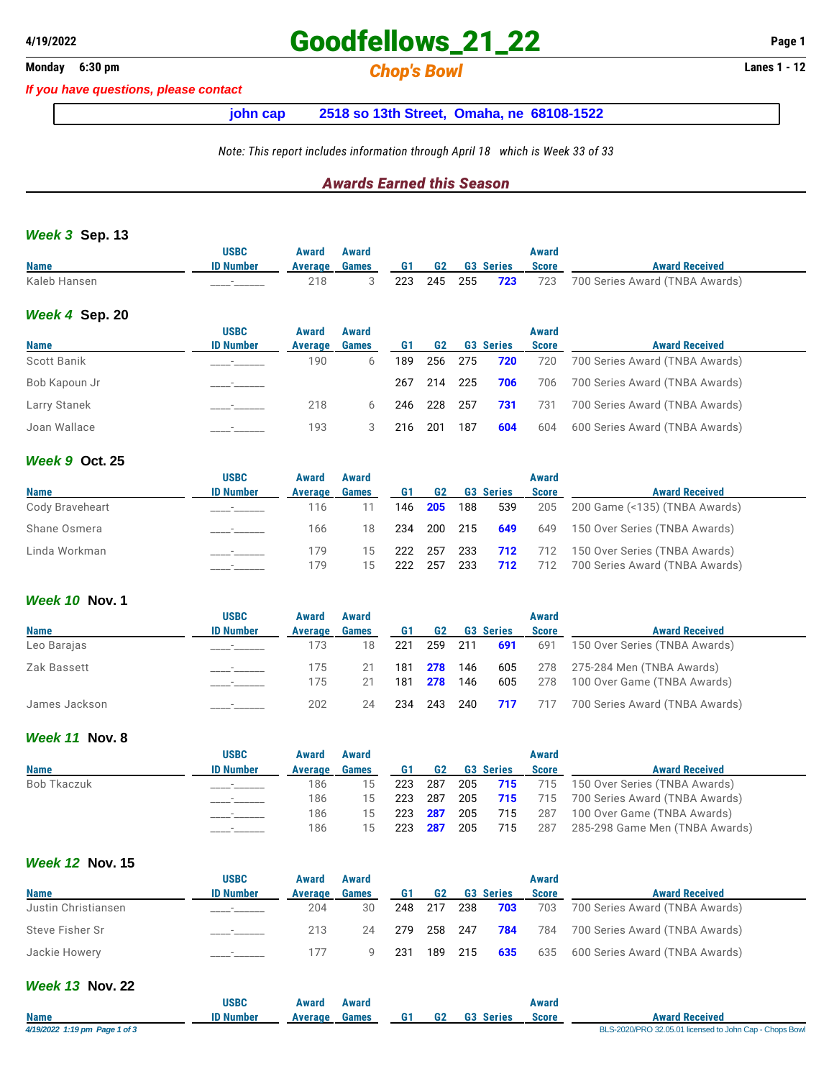# **4/19/2022 Goodfellows\_21\_22 Page 1**

## **Monday 6:30 pm** *Chop's Bowl* **Lanes 1 - 12**

*If you have questions, please contact*

**john cap 2518 so 13th Street, Omaha, ne 68108-1522**

*Note: This report includes information through April 18 which is Week 33 of 33*

### *Awards Earned this Season*

#### *Week 3* **Sep. 13**

|                | <b>USBC</b>      | Award   | Award |     |           |                    | Award        |                                |
|----------------|------------------|---------|-------|-----|-----------|--------------------|--------------|--------------------------------|
| <b>Name</b>    | <b>ID Number</b> | Average | Games | G1  | <b>G2</b> | <b>G3 Series</b>   | <b>Score</b> | <b>Award Received</b>          |
| Kaleb Hansen   |                  | 218     |       | 223 |           | 245 255 <b>723</b> | 723          | 700 Series Award (TNBA Awards) |
| Week 4 Sep. 20 |                  |         |       |     |           |                    |              |                                |

|               | <b>USBC</b>      | Award          | Award        |     |         |       |                  | Award        |                                |
|---------------|------------------|----------------|--------------|-----|---------|-------|------------------|--------------|--------------------------------|
| <b>Name</b>   | <b>ID Number</b> | <b>Average</b> | <b>Games</b> | G1  | G2      |       | <b>G3 Series</b> | <b>Score</b> | <b>Award Received</b>          |
| Scott Banik   |                  | 190            | 6            | 189 | 256     | - 275 | 720              | 720          | 700 Series Award (TNBA Awards) |
| Bob Kapoun Jr |                  |                |              | 267 | 214 225 |       | 706              | 706          | 700 Series Award (TNBA Awards) |
| Larry Stanek  |                  | 218            | 6            | 246 | 228     | - 257 | 731              | 731          | 700 Series Award (TNBA Awards) |
| Joan Wallace  |                  | 193            |              | 216 | 201     | 187   | 604              | 604          | 600 Series Award (TNBA Awards) |

#### *Week 9* **Oct. 25**

|                 | <b>USBC</b>      | Award      | Award        |            |                |            |                  | Award        |                                                                                    |
|-----------------|------------------|------------|--------------|------------|----------------|------------|------------------|--------------|------------------------------------------------------------------------------------|
| <b>Name</b>     | <b>ID Number</b> | Average    | <b>Games</b> | G1         | G <sub>2</sub> |            | <b>G3 Series</b> | <b>Score</b> | <b>Award Received</b>                                                              |
| Cody Braveheart |                  | 116        |              | 146        | 205            | 188        | 539              |              | 205 200 Game (<135) (TNBA Awards)                                                  |
| Shane Osmera    |                  | 166        | 18           | 234        |                | 200 215    | 649              | 649          | 150 Over Series (TNBA Awards)                                                      |
| Linda Workman   |                  | 179<br>179 | 15<br>15.    | 222<br>222 | 257<br>257     | 233<br>233 | 712              |              | <b>712</b> 712 150 Over Series (TNBA Awards)<br>712 700 Series Award (TNBA Awards) |

### *Week 10* **Nov. 1**

|               | <b>USBC</b>              | Award   | Award        |     |                    |                  | Award        |                                   |
|---------------|--------------------------|---------|--------------|-----|--------------------|------------------|--------------|-----------------------------------|
| <b>Name</b>   | <b>ID Number</b>         | Average | <b>Games</b> | G1  | G <sub>2</sub>     | <b>G3 Series</b> | <b>Score</b> | <b>Award Received</b>             |
| Leo Barajas   |                          | 173     | 18           |     | 221 259 211        | 691              | 691          | 150 Over Series (TNBA Awards)     |
| Zak Bassett   |                          | 175     |              |     | 181 <b>278</b> 146 |                  |              | 605 278 275-284 Men (TNBA Awards) |
|               |                          | 175     |              | 181 | <b>278</b> 146     | 605              | 278          | 100 Over Game (TNBA Awards)       |
| James Jackson | $\overline{\phantom{a}}$ | 202     | 24           |     |                    | 234 243 240 717  | 717          | 700 Series Award (TNBA Awards)    |

#### *Week 11* **Nov. 8**

|             | <b>USBC</b>      | Award   | Award |                    |     |     |                  | Award |                                                   |
|-------------|------------------|---------|-------|--------------------|-----|-----|------------------|-------|---------------------------------------------------|
| <b>Name</b> | <b>ID Number</b> | Average | Games | G1                 | G2  |     | <b>G3 Series</b> | Score | <b>Award Received</b>                             |
| Bob Tkaczuk |                  | 186     | 15    | 223                | 287 |     |                  |       | 205 715 715 150 Over Series (TNBA Awards)         |
|             |                  | 186     | 15    | 223                | 287 |     |                  |       | <b>205 715</b> 715 700 Series Award (TNBA Awards) |
|             |                  | 186     | 15    | 223 <b>287</b> 205 |     |     | 715              | 287   | 100 Over Game (TNBA Awards)                       |
|             |                  | 186     | 15    | 223                | 287 | 205 | 715              | 287   | 285-298 Game Men (TNBA Awards)                    |

### *Week 12* **Nov. 15**

|                     | <b>USBC</b>      | Award   | Award        |     |         |       |                  | Award        |                                    |
|---------------------|------------------|---------|--------------|-----|---------|-------|------------------|--------------|------------------------------------|
| <b>Name</b>         | <b>ID Number</b> | Average | <b>Games</b> |     | G2      |       | <b>G3 Series</b> | <b>Score</b> | <b>Award Received</b>              |
| Justin Christiansen |                  | 204     | 30           | 248 | - 217   | - 238 | 703              | 703          | 700 Series Award (TNBA Awards)     |
| Steve Fisher Sr     |                  | 213     | 24           | 279 | 258 247 |       | 784              |              | 784 700 Series Award (TNBA Awards) |
| Jackie Howery       |                  |         |              | 231 |         |       | 189 215 635      |              | 635 600 Series Award (TNBA Awards) |

#### *Week 13* **Nov. 22**

|                               | USBC             | Award   | Award |           |    |                  | Award        |                                                         |
|-------------------------------|------------------|---------|-------|-----------|----|------------------|--------------|---------------------------------------------------------|
| <b>Name</b>                   | <b>ID Number</b> | Average | Games | <b>G1</b> | G2 | <b>G3 Series</b> | <b>Score</b> | <b>Award Received</b>                                   |
| 4/19/2022 1:19 pm Page 1 of 3 |                  |         |       |           |    |                  |              | BLS-2020/PRO 32.05.01 licensed to John Cap - Chops Bowl |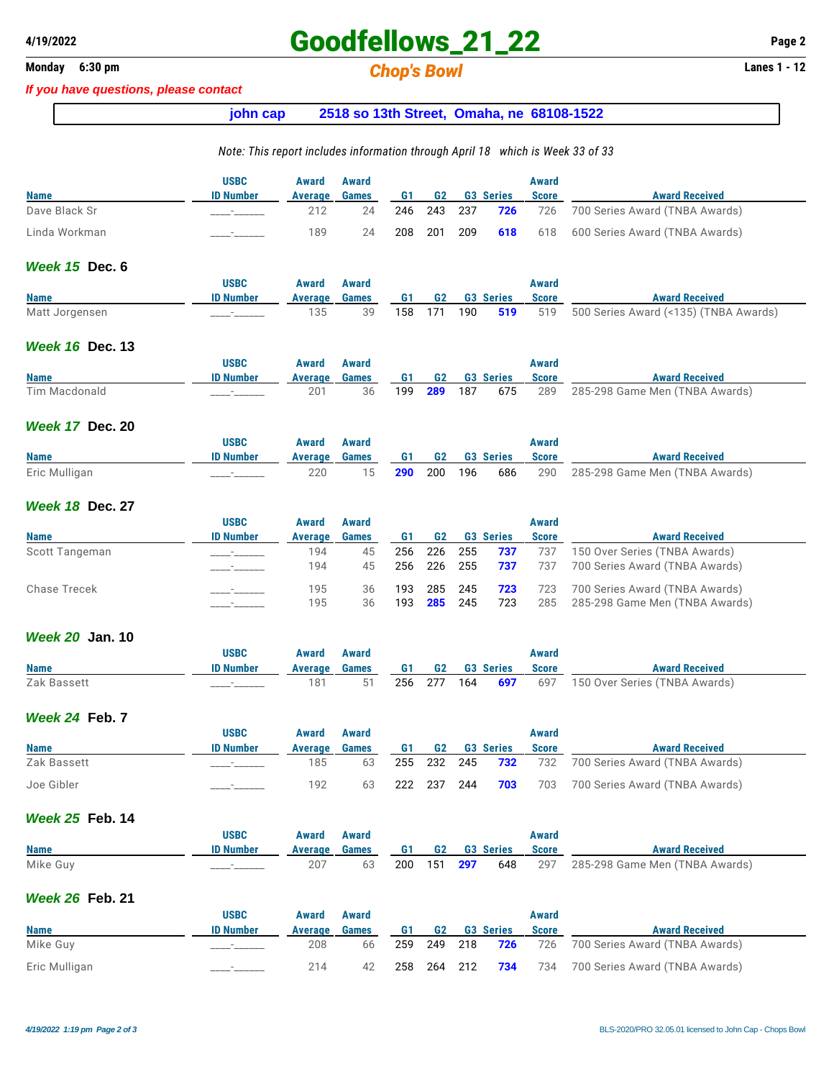## **4/19/2022 Goodfellows\_21\_22 Page 2**

**Monday 6:30 pm** *Chop's Bowl* **Lanes 1 - 12**

#### *If you have questions, please contact*

### **john cap 2518 so 13th Street, Omaha, ne 68108-1522**

#### *Note: This report includes information through April 18 which is Week 33 of 33*

|               | <b>USBC</b>      | Award   | Award        |     |         |     |                  | Award        |                                               |
|---------------|------------------|---------|--------------|-----|---------|-----|------------------|--------------|-----------------------------------------------|
| <b>Name</b>   | <b>ID Number</b> | Average | <b>Games</b> | G1  | G2      |     | <b>G3 Series</b> | <b>Score</b> | <b>Award Received</b>                         |
| Dave Black Sr |                  |         | 24           | 246 | 243 237 |     | 726              |              | 726 700 Series Award (TNBA Awards)            |
| Linda Workman |                  | 189     | 24           | 208 | 201     | 209 |                  |              | <b>618</b> 618 600 Series Award (TNBA Awards) |

#### *Week 15* **Dec. 6**

|                | <b>USBC</b>      | Award | Award                               |  |  | Award |                                                           |
|----------------|------------------|-------|-------------------------------------|--|--|-------|-----------------------------------------------------------|
| <b>Name</b>    | <b>ID Number</b> |       | Average Games G1 G2 G3 Series Score |  |  |       | <b>Award Received</b>                                     |
| Matt Jorgensen |                  |       |                                     |  |  |       | 158 171 190 519 519 500 Series Award (<135) (TNBA Awards) |

#### *Week 16* **Dec. 13**

|               | <b>USBC</b>      | Award   | Award |     |                |     |                  | Award        |                                |
|---------------|------------------|---------|-------|-----|----------------|-----|------------------|--------------|--------------------------------|
| <b>Name</b>   | <b>ID Number</b> | Average | Games | G1  | G <sub>2</sub> |     | <b>G3 Series</b> | <b>Score</b> | <b>Award Received</b>          |
| Tim Macdonald |                  | 20٬     | 36    | 199 | 289            | 187 | 675              | 289          | 285-298 Game Men (TNBA Awards) |

#### *Week 17* **Dec. 20**

|               | <b>USBC</b>      | Award         | Award |               |         |                 | Award        |                                    |
|---------------|------------------|---------------|-------|---------------|---------|-----------------|--------------|------------------------------------|
| <b>Name</b>   | <b>ID Number</b> | Average Games |       |               |         | G1 G2 G3 Series | <b>Score</b> | <b>Award Received</b>              |
| Eric Mulligan |                  | 220           |       | 15 <b>290</b> | 200 196 | 686             |              | 290 285-298 Game Men (TNBA Awards) |

#### *Week 18* **Dec. 27**

|                | <b>USBC</b>      | Award   | Award        |     |                |         |                  | Award        |                                |
|----------------|------------------|---------|--------------|-----|----------------|---------|------------------|--------------|--------------------------------|
| <b>Name</b>    | <b>ID Number</b> | Average | <b>Games</b> | G1  | G <sub>2</sub> |         | <b>G3 Series</b> | <b>Score</b> | <b>Award Received</b>          |
| Scott Tangeman |                  | 194     | 45           | 256 | 226            | 255     | 737              | 737          | 150 Over Series (TNBA Awards)  |
|                |                  | 194     | 45           | 256 | 226            | 255     | 737              | 737          | 700 Series Award (TNBA Awards) |
| Chase Trecek   |                  | 195     | 36           | 193 |                | 285 245 | 723              | 723          | 700 Series Award (TNBA Awards) |
|                |                  | 195     | 36           | 193 | 285            | -245    | 723              | 285          | 285-298 Game Men (TNBA Awards) |

#### *Week 20* **Jan. 10**

|             | <b>USBC</b>      | Award         | Award |           |    |                  | Award        |                                    |
|-------------|------------------|---------------|-------|-----------|----|------------------|--------------|------------------------------------|
| <b>Name</b> | <b>ID Number</b> | Average Games |       | <b>G1</b> | G2 | <b>G3 Series</b> | <b>Score</b> | <b>Award Received</b>              |
| Zak Bassett | . _______        | 181           |       |           |    | 256 277 164 697  |              | 697  150 Over Series (TNBA Awards) |

#### *Week 24* **Feb. 7**

|             | <b>USBC</b>      | Award   | Award        |     |       |                     | Award        |                                    |
|-------------|------------------|---------|--------------|-----|-------|---------------------|--------------|------------------------------------|
| <b>Name</b> | <b>ID Number</b> | Average | <b>Games</b> | G1  |       | <b>G2</b> G3 Series | <b>Score</b> | <b>Award Received</b>              |
| Zak Bassett |                  | 185     | 63           | 255 |       | 232 245 <b>732</b>  |              | 732 700 Series Award (TNBA Awards) |
| Joe Gibler  |                  | 192     | 63           | 222 | - 237 | 244 <b>703</b>      |              | 703 700 Series Award (TNBA Awards) |

### *Week 25* **Feb. 14**

|             | <b>USBC</b>      | Award   | Award |     |                |                  | Award        |                                |
|-------------|------------------|---------|-------|-----|----------------|------------------|--------------|--------------------------------|
| <b>Name</b> | <b>ID Number</b> | Average | Games | G1  | G2             | <b>G3 Series</b> | <b>Score</b> | <b>Award Received</b>          |
| Mike Guy    | _______          | 207     | 63    | 200 | 151 <b>297</b> | 648              | 297          | 285-298 Game Men (TNBA Awards) |

#### *Week 26* **Feb. 21**

|               | <b>USBC</b>      | Award   | Award        |    |  |                        | Award        |                                    |
|---------------|------------------|---------|--------------|----|--|------------------------|--------------|------------------------------------|
| <b>Name</b>   | <b>ID Number</b> | Average | <b>Games</b> | G1 |  | <b>G2</b> G3 Series    | <b>Score</b> | <b>Award Received</b>              |
| Mike Guv      |                  | 208     | 66           |    |  | 259 249 218 <b>726</b> |              | 726 700 Series Award (TNBA Awards) |
| Eric Mulligan |                  | 214     | 42           |    |  | 258 264 212 <b>734</b> |              | 734 700 Series Award (TNBA Awards) |